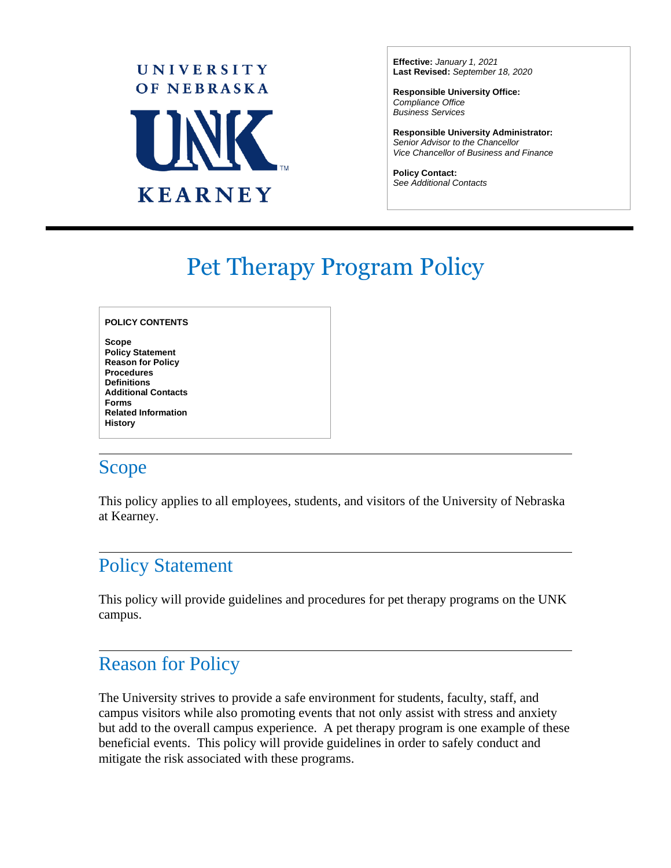

**Effective:** *January 1, 2021* **Last Revised:** *September 18, 2020*

**Responsible University Office:** *Compliance Office Business Services*

**Responsible University Administrator:** *Senior Advisor to the Chancellor Vice Chancellor of Business and Finance*

 $\overline{a}$ 

**Policy Contact:** *See Additional Contacts*

# Pet Therapy Program Policy

#### **POLICY CONTENTS**

**Scope Policy Statement Reason for Policy Procedures Definitions Additional Contacts Forms Related Information History**

### Scope

This policy applies to all employees, students, and visitors of the University of Nebraska at Kearney.

### Policy Statement

This policy will provide guidelines and procedures for pet therapy programs on the UNK campus.

### Reason for Policy

The University strives to provide a safe environment for students, faculty, staff, and campus visitors while also promoting events that not only assist with stress and anxiety but add to the overall campus experience. A pet therapy program is one example of these beneficial events. This policy will provide guidelines in order to safely conduct and mitigate the risk associated with these programs.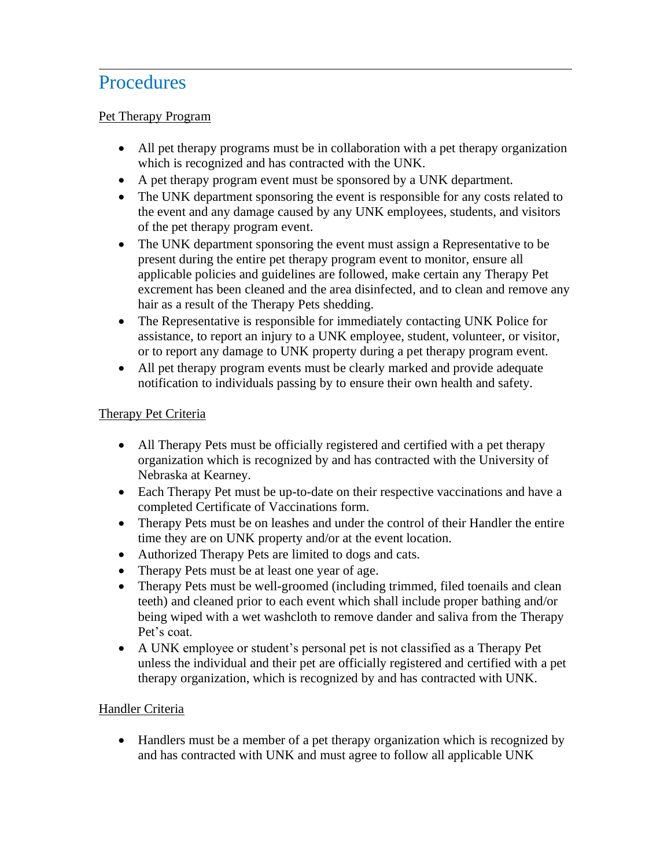### **Procedures**

#### Pet Therapy Program

- All pet therapy programs must be in collaboration with a pet therapy organization which is recognized and has contracted with the UNK.
- A pet therapy program event must be sponsored by a UNK department.
- The UNK department sponsoring the event is responsible for any costs related to the event and any damage caused by any UNK employees, students, and visitors of the pet therapy program event.
- The UNK department sponsoring the event must assign a Representative to be present during the entire pet therapy program event to monitor, ensure all applicable policies and guidelines are followed, make certain any Therapy Pet excrement has been cleaned and the area disinfected, and to clean and remove any hair as a result of the Therapy Pets shedding.
- The Representative is responsible for immediately contacting UNK Police for assistance, to report an injury to a UNK employee, student, volunteer, or visitor, or to report any damage to UNK property during a pet therapy program event.
- All pet therapy program events must be clearly marked and provide adequate notification to individuals passing by to ensure their own health and safety.

### Therapy Pet Criteria

- All Therapy Pets must be officially registered and certified with a pet therapy organization which is recognized by and has contracted with the University of Nebraska at Kearney.
- Each Therapy Pet must be up-to-date on their respective vaccinations and have a completed Certificate of Vaccinations form.
- Therapy Pets must be on leashes and under the control of their Handler the entire time they are on UNK property and/or at the event location.
- Authorized Therapy Pets are limited to dogs and cats.
- Therapy Pets must be at least one year of age.
- Therapy Pets must be well-groomed (including trimmed, filed toenails and clean teeth) and cleaned prior to each event which shall include proper bathing and/or being wiped with a wet washcloth to remove dander and saliva from the Therapy Pet's coat.
- A UNK employee or student's personal pet is not classified as a Therapy Pet unless the individual and their pet are officially registered and certified with a pet therapy organization, which is recognized by and has contracted with UNK.

### Handler Criteria

• Handlers must be a member of a pet therapy organization which is recognized by and has contracted with UNK and must agree to follow all applicable UNK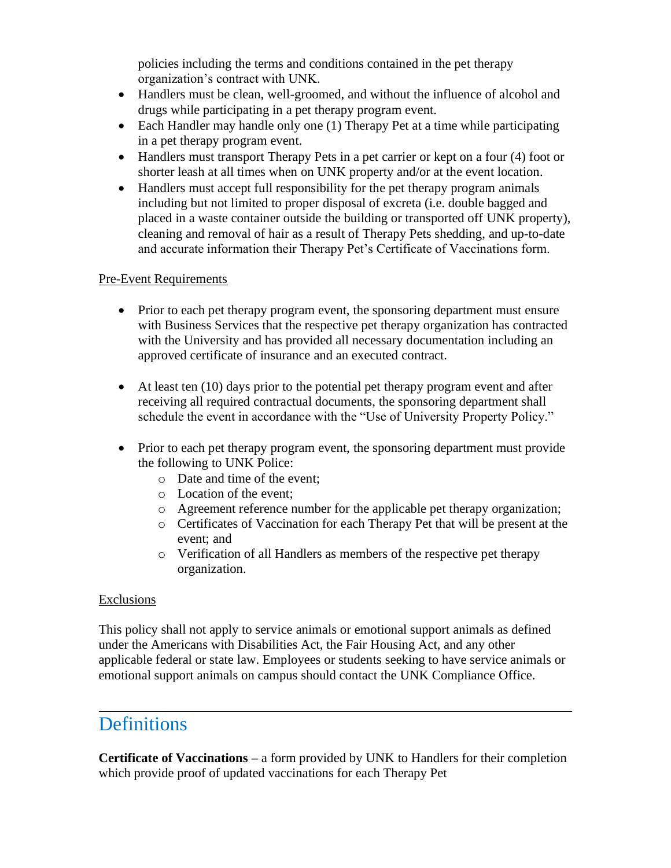policies including the terms and conditions contained in the pet therapy organization's contract with UNK.

- Handlers must be clean, well-groomed, and without the influence of alcohol and drugs while participating in a pet therapy program event.
- Each Handler may handle only one (1) Therapy Pet at a time while participating in a pet therapy program event.
- Handlers must transport Therapy Pets in a pet carrier or kept on a four (4) foot or shorter leash at all times when on UNK property and/or at the event location.
- Handlers must accept full responsibility for the pet therapy program animals including but not limited to proper disposal of excreta (i.e. double bagged and placed in a waste container outside the building or transported off UNK property), cleaning and removal of hair as a result of Therapy Pets shedding, and up-to-date and accurate information their Therapy Pet's Certificate of Vaccinations form.

#### Pre-Event Requirements

- Prior to each pet therapy program event, the sponsoring department must ensure with Business Services that the respective pet therapy organization has contracted with the University and has provided all necessary documentation including an approved certificate of insurance and an executed contract.
- At least ten (10) days prior to the potential pet therapy program event and after receiving all required contractual documents, the sponsoring department shall schedule the event in accordance with the "Use of University Property Policy."
- Prior to each pet therapy program event, the sponsoring department must provide the following to UNK Police:
	- o Date and time of the event;
	- o Location of the event;
	- o Agreement reference number for the applicable pet therapy organization;
	- o Certificates of Vaccination for each Therapy Pet that will be present at the event; and
	- o Verification of all Handlers as members of the respective pet therapy organization.

#### Exclusions

This policy shall not apply to service animals or emotional support animals as defined under the Americans with Disabilities Act, the Fair Housing Act, and any other applicable federal or state law. Employees or students seeking to have service animals or emotional support animals on campus should contact the UNK Compliance Office.

### **Definitions**

**Certificate of Vaccinations –** a form provided by UNK to Handlers for their completion which provide proof of updated vaccinations for each Therapy Pet